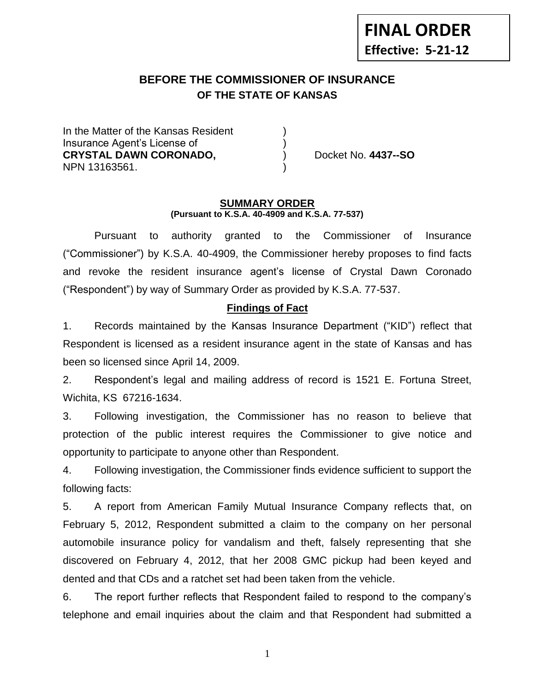# **BEFORE THE COMMISSIONER OF INSURANCE OF THE STATE OF KANSAS --12**

In the Matter of the Kansas Resident Insurance Agent's License of ) **CRYSTAL DAWN CORONADO,** ) Docket No. **4437--SO** NPN 13163561. )

#### **SUMMARY ORDER (Pursuant to K.S.A. 40-4909 and K.S.A. 77-537)**

Pursuant to authority granted to the Commissioner of Insurance ("Commissioner") by K.S.A. 40-4909, the Commissioner hereby proposes to find facts and revoke the resident insurance agent's license of Crystal Dawn Coronado ("Respondent") by way of Summary Order as provided by K.S.A. 77-537.

## **Findings of Fact**

1. Records maintained by the Kansas Insurance Department ("KID") reflect that Respondent is licensed as a resident insurance agent in the state of Kansas and has been so licensed since April 14, 2009.

2. Respondent's legal and mailing address of record is 1521 E. Fortuna Street, Wichita, KS 67216-1634.

3. Following investigation, the Commissioner has no reason to believe that protection of the public interest requires the Commissioner to give notice and opportunity to participate to anyone other than Respondent.

4. Following investigation, the Commissioner finds evidence sufficient to support the following facts:

5. A report from American Family Mutual Insurance Company reflects that, on February 5, 2012, Respondent submitted a claim to the company on her personal automobile insurance policy for vandalism and theft, falsely representing that she discovered on February 4, 2012, that her 2008 GMC pickup had been keyed and dented and that CDs and a ratchet set had been taken from the vehicle.

6. The report further reflects that Respondent failed to respond to the company's telephone and email inquiries about the claim and that Respondent had submitted a

1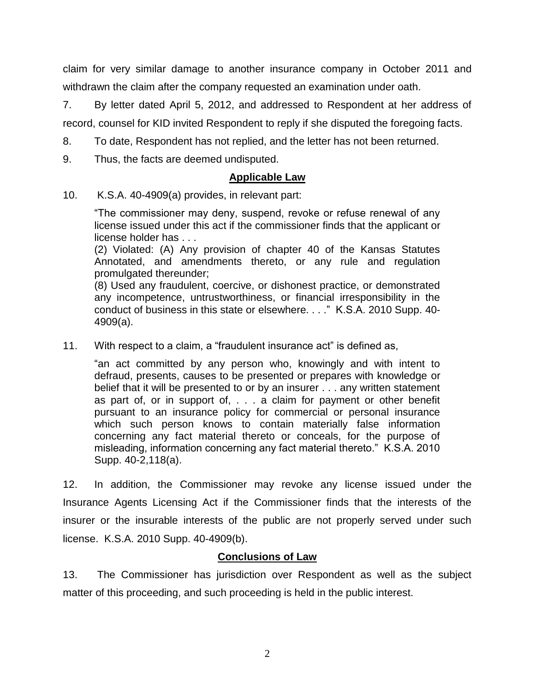claim for very similar damage to another insurance company in October 2011 and withdrawn the claim after the company requested an examination under oath.

7. By letter dated April 5, 2012, and addressed to Respondent at her address of record, counsel for KID invited Respondent to reply if she disputed the foregoing facts.

8. To date, Respondent has not replied, and the letter has not been returned.

9. Thus, the facts are deemed undisputed.

## **Applicable Law**

10. K.S.A. 40-4909(a) provides, in relevant part:

"The commissioner may deny, suspend, revoke or refuse renewal of any license issued under this act if the commissioner finds that the applicant or license holder has . . .

(2) Violated: (A) Any provision of chapter 40 of the Kansas Statutes Annotated, and amendments thereto, or any rule and regulation promulgated thereunder;

(8) Used any fraudulent, coercive, or dishonest practice, or demonstrated any incompetence, untrustworthiness, or financial irresponsibility in the conduct of business in this state or elsewhere. . . ." K.S.A. 2010 Supp. 40- 4909(a).

11. With respect to a claim, a "fraudulent insurance act" is defined as,

"an act committed by any person who, knowingly and with intent to defraud, presents, causes to be presented or prepares with knowledge or belief that it will be presented to or by an insurer . . . any written statement as part of, or in support of, . . . a claim for payment or other benefit pursuant to an insurance policy for commercial or personal insurance which such person knows to contain materially false information concerning any fact material thereto or conceals, for the purpose of misleading, information concerning any fact material thereto." K.S.A. 2010 Supp. 40-2,118(a).

12. In addition, the Commissioner may revoke any license issued under the Insurance Agents Licensing Act if the Commissioner finds that the interests of the insurer or the insurable interests of the public are not properly served under such license. K.S.A. 2010 Supp. 40-4909(b).

## **Conclusions of Law**

13. The Commissioner has jurisdiction over Respondent as well as the subject matter of this proceeding, and such proceeding is held in the public interest.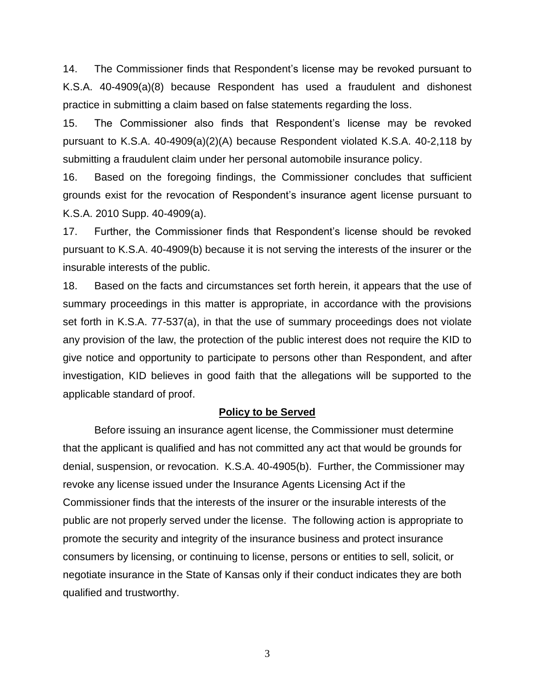14. The Commissioner finds that Respondent's license may be revoked pursuant to K.S.A. 40-4909(a)(8) because Respondent has used a fraudulent and dishonest practice in submitting a claim based on false statements regarding the loss.

15. The Commissioner also finds that Respondent's license may be revoked pursuant to K.S.A. 40-4909(a)(2)(A) because Respondent violated K.S.A. 40-2,118 by submitting a fraudulent claim under her personal automobile insurance policy.

16. Based on the foregoing findings, the Commissioner concludes that sufficient grounds exist for the revocation of Respondent's insurance agent license pursuant to K.S.A. 2010 Supp. 40-4909(a).

17. Further, the Commissioner finds that Respondent's license should be revoked pursuant to K.S.A. 40-4909(b) because it is not serving the interests of the insurer or the insurable interests of the public.

18. Based on the facts and circumstances set forth herein, it appears that the use of summary proceedings in this matter is appropriate, in accordance with the provisions set forth in K.S.A. 77-537(a), in that the use of summary proceedings does not violate any provision of the law, the protection of the public interest does not require the KID to give notice and opportunity to participate to persons other than Respondent, and after investigation, KID believes in good faith that the allegations will be supported to the applicable standard of proof.

#### **Policy to be Served**

Before issuing an insurance agent license, the Commissioner must determine that the applicant is qualified and has not committed any act that would be grounds for denial, suspension, or revocation. K.S.A. 40-4905(b). Further, the Commissioner may revoke any license issued under the Insurance Agents Licensing Act if the Commissioner finds that the interests of the insurer or the insurable interests of the public are not properly served under the license. The following action is appropriate to promote the security and integrity of the insurance business and protect insurance consumers by licensing, or continuing to license, persons or entities to sell, solicit, or negotiate insurance in the State of Kansas only if their conduct indicates they are both qualified and trustworthy.

3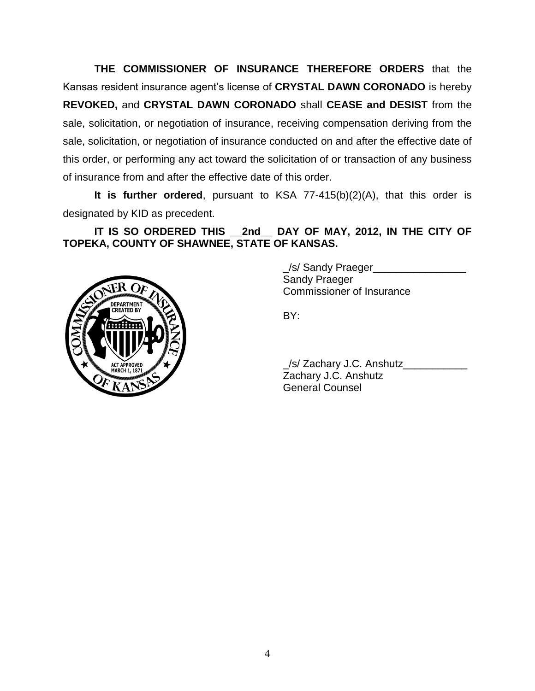**THE COMMISSIONER OF INSURANCE THEREFORE ORDERS** that the Kansas resident insurance agent's license of **CRYSTAL DAWN CORONADO** is hereby **REVOKED,** and **CRYSTAL DAWN CORONADO** shall **CEASE and DESIST** from the sale, solicitation, or negotiation of insurance, receiving compensation deriving from the sale, solicitation, or negotiation of insurance conducted on and after the effective date of this order, or performing any act toward the solicitation of or transaction of any business of insurance from and after the effective date of this order.

**It is further ordered**, pursuant to KSA 77-415(b)(2)(A), that this order is designated by KID as precedent.

**IT IS SO ORDERED THIS \_\_2nd\_\_ DAY OF MAY, 2012, IN THE CITY OF TOPEKA, COUNTY OF SHAWNEE, STATE OF KANSAS.**



\_/s/ Sandy Praeger\_\_\_\_\_\_\_\_\_\_\_\_\_\_\_\_ Sandy Praeger Commissioner of Insurance

BY:

| S/ Zachary J.C. Anshutz |  |
|-------------------------|--|
| Zachary J.C. Anshutz    |  |
| <b>General Counsel</b>  |  |